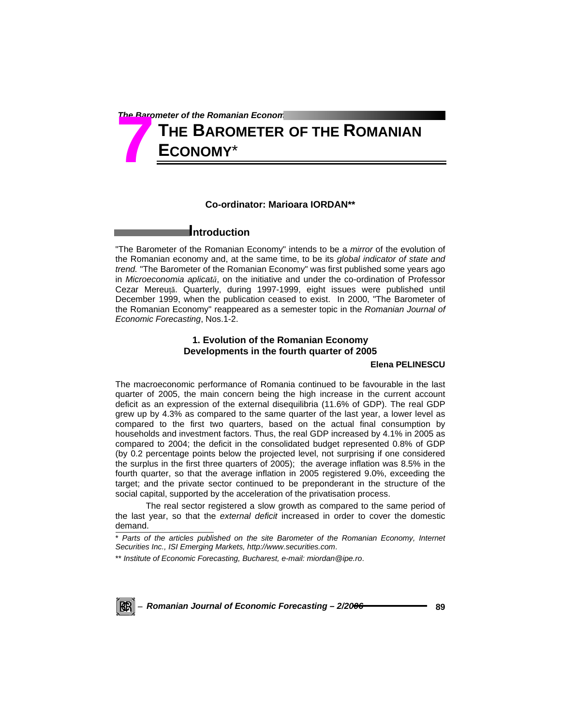# **THE BAROMETER OF THE ROMANIAN ECONOMY**\* **7**<br>**1**

### **Co-ordinator: Marioara IORDAN\*\***

## **Introduction**

"The Barometer of the Romanian Economy" intends to be a *mirror* of the evolution of the Romanian economy and, at the same time, to be its *global indicator of state and trend.* "The Barometer of the Romanian Economy" was first published some years ago in *Microeconomia aplicată*, on the initiative and under the co-ordination of Professor Cezar Mereuţă. Quarterly, during 1997-1999, eight issues were published until December 1999, when the publication ceased to exist. In 2000, "The Barometer of the Romanian Economy" reappeared as a semester topic in the *Romanian Journal of Economic Forecasting*, Nos.1-2.

## **1. Evolution of the Romanian Economy Developments in the fourth quarter of 2005**

#### **Elena PELINESCU**

The macroeconomic performance of Romania continued to be favourable in the last quarter of 2005, the main concern being the high increase in the current account deficit as an expression of the external disequilibria (11.6% of GDP). The real GDP grew up by 4.3% as compared to the same quarter of the last year, a lower level as compared to the first two quarters, based on the actual final consumption by households and investment factors. Thus, the real GDP increased by 4.1% in 2005 as compared to 2004; the deficit in the consolidated budget represented 0.8% of GDP (by 0.2 percentage points below the projected level, not surprising if one considered the surplus in the first three quarters of 2005); the average inflation was 8.5% in the fourth quarter, so that the average inflation in 2005 registered 9.0%, exceeding the target; and the private sector continued to be preponderant in the structure of the social capital, supported by the acceleration of the privatisation process.

The real sector registered a slow growth as compared to the same period of the last year, so that the *external deficit* increased in order to cover the domestic demand.

Parts of the articles published on the site Barometer of the Romanian Economy, Internet *Securities Inc., ISI Emerging Markets, http://www.securities.com*.

\*\* *Institute of Economic Forecasting, Bucharest, e-mail: miordan@ipe.ro*.

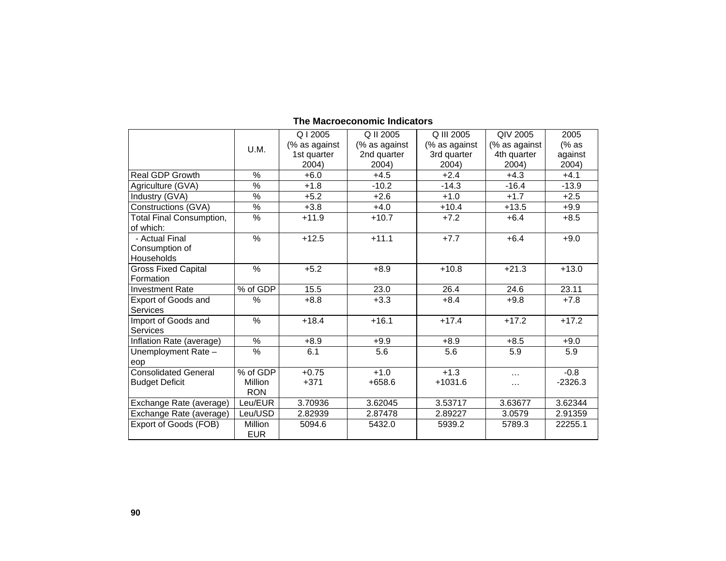|                                 |                 | Q12005        | Q II 2005     | Q III 2005    | QIV 2005      | 2005      |
|---------------------------------|-----------------|---------------|---------------|---------------|---------------|-----------|
|                                 | U.M.            | (% as against | (% as against | (% as against | (% as against | (% as     |
|                                 |                 | 1st quarter   | 2nd quarter   | 3rd quarter   | 4th quarter   | against   |
|                                 |                 | 2004)         | 2004)         | 2004)         | 2004)         | 2004)     |
| <b>Real GDP Growth</b>          | %               | $+6.0$        | $+4.5$        | $+2.4$        | $+4.3$        | $+4.1$    |
| Agriculture (GVA)               | %               | $+1.8$        | $-10.2$       | $-14.3$       | $-16.4$       | $-13.9$   |
| Industry (GVA)                  | $\overline{\%}$ | $+5.2$        | $+2.6$        | $+1.0$        | $+1.7$        | $+2.5$    |
| Constructions (GVA)             | $\frac{9}{6}$   | $+3.8$        | $+4.0$        | $+10.4$       | $+13.5$       | $+9.9$    |
| <b>Total Final Consumption,</b> | %               | $+11.9$       | $+10.7$       | $+7.2$        | $+6.4$        | $+8.5$    |
| of which:                       |                 |               |               |               |               |           |
| - Actual Final                  | $\frac{0}{0}$   | $+12.5$       | $+11.1$       | $+7.7$        | $+6.4$        | $+9.0$    |
| Consumption of                  |                 |               |               |               |               |           |
| Households                      |                 |               |               |               |               |           |
| <b>Gross Fixed Capital</b>      | %               | $+5.2$        | $+8.9$        | $+10.8$       | $+21.3$       | $+13.0$   |
| Formation                       |                 |               |               |               |               |           |
| <b>Investment Rate</b>          | % of GDP        | 15.5          | 23.0          | 26.4          | 24.6          | 23.11     |
| Export of Goods and             | $\frac{0}{0}$   | $+8.8$        | $+3.3$        | $+8.4$        | $+9.8$        | $+7.8$    |
| <b>Services</b>                 |                 |               |               |               |               |           |
| Import of Goods and             | %               | $+18.4$       | $+16.1$       | $+17.4$       | $+17.2$       | $+17.2$   |
| <b>Services</b>                 |                 |               |               |               |               |           |
| Inflation Rate (average)        | $\%$            | $+8.9$        | $+9.9$        | $+8.9$        | $+8.5$        | $+9.0$    |
| Unemployment Rate -             | %               | 6.1           | 5.6           | 5.6           | 5.9           | 5.9       |
| eop                             |                 |               |               |               |               |           |
| <b>Consolidated General</b>     | % of GDP        | $+0.75$       | $+1.0$        | $+1.3$        | $\cdots$      | $-0.8$    |
| <b>Budget Deficit</b>           | Million         | $+371$        | $+658.6$      | $+1031.6$     | $\cdots$      | $-2326.3$ |
|                                 | <b>RON</b>      |               |               |               |               |           |
| Exchange Rate (average)         | Leu/EUR         | 3.70936       | 3.62045       | 3.53717       | 3.63677       | 3.62344   |
| Exchange Rate (average)         | Leu/USD         | 2.82939       | 2.87478       | 2.89227       | 3.0579        | 2.91359   |
| Export of Goods (FOB)           | <b>Million</b>  | 5094.6        | 5432.0        | 5939.2        | 5789.3        | 22255.1   |
|                                 | <b>EUR</b>      |               |               |               |               |           |

#### **The Macroeconomic Indicators**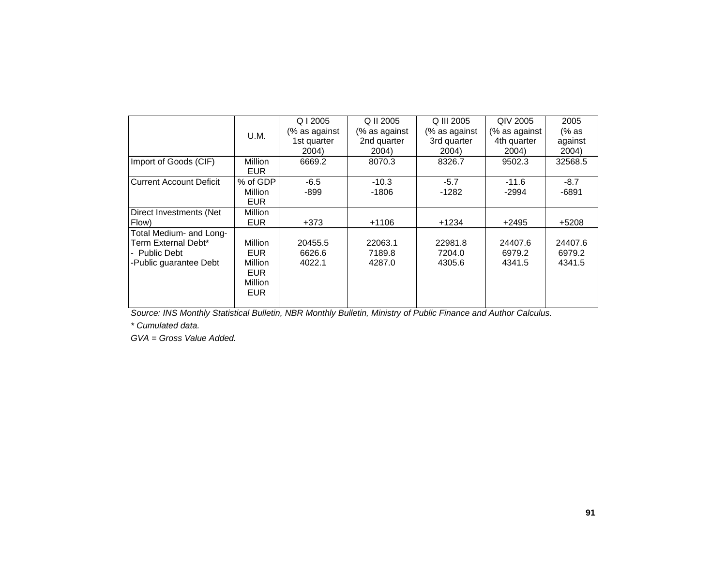|                                |                | Q   2005      | Q II 2005     | Q III 2005    | QIV 2005      | 2005    |
|--------------------------------|----------------|---------------|---------------|---------------|---------------|---------|
|                                | U.M.           | (% as against | (% as against | (% as against | (% as against | (% as   |
|                                |                | 1st quarter   | 2nd quarter   | 3rd quarter   | 4th quarter   | against |
|                                |                | 2004)         | 2004)         | 2004)         | 2004)         | 2004)   |
| Import of Goods (CIF)          | Million        | 6669.2        | 8070.3        | 8326.7        | 9502.3        | 32568.5 |
|                                | <b>EUR</b>     |               |               |               |               |         |
| <b>Current Account Deficit</b> | % of GDP       | $-6.5$        | $-10.3$       | $-5.7$        | $-11.6$       | $-8.7$  |
|                                | <b>Million</b> | -899          | $-1806$       | $-1282$       | -2994         | -6891   |
|                                | <b>EUR</b>     |               |               |               |               |         |
| Direct Investments (Net)       | <b>Million</b> |               |               |               |               |         |
| Flow)                          | EUR.           | $+373$        | $+1106$       | $+1234$       | $+2495$       | $+5208$ |
| Total Medium- and Long-        |                |               |               |               |               |         |
| Term External Debt*            | <b>Million</b> | 20455.5       | 22063.1       | 22981.8       | 24407.6       | 24407.6 |
| - Public Debt                  | EUR.           | 6626.6        | 7189.8        | 7204.0        | 6979.2        | 6979.2  |
| -Public guarantee Debt         | <b>Million</b> | 4022.1        | 4287.0        | 4305.6        | 4341.5        | 4341.5  |
|                                | EUR.           |               |               |               |               |         |
|                                | <b>Million</b> |               |               |               |               |         |
|                                | <b>EUR</b>     |               |               |               |               |         |
|                                |                |               |               |               |               |         |

*Source: INS Monthly Statistical Bulletin, NBR Monthly Bulletin, Ministry of Public Finance and Author Calculus.* 

*\* Cumulated data.* 

*GVA = Gross Value Added.*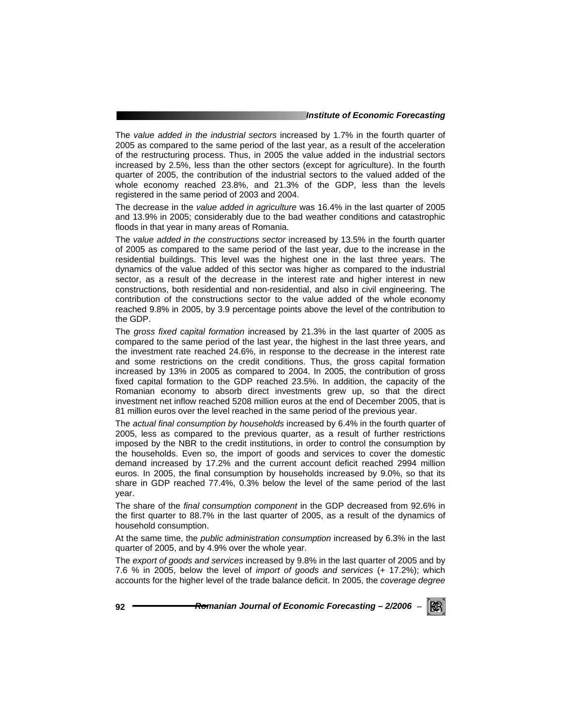#### *Institute of Economic Forecasting*

The *value added in the industrial sectors* increased by 1.7% in the fourth quarter of 2005 as compared to the same period of the last year, as a result of the acceleration of the restructuring process. Thus, in 2005 the value added in the industrial sectors increased by 2.5%, less than the other sectors (except for agriculture). In the fourth quarter of 2005, the contribution of the industrial sectors to the valued added of the whole economy reached 23.8%, and 21.3% of the GDP, less than the levels registered in the same period of 2003 and 2004.

The decrease in the *value added in agriculture* was 16.4% in the last quarter of 2005 and 13.9% in 2005; considerably due to the bad weather conditions and catastrophic floods in that year in many areas of Romania.

The *value added in the constructions sector* increased by 13.5% in the fourth quarter of 2005 as compared to the same period of the last year, due to the increase in the residential buildings. This level was the highest one in the last three years. The dynamics of the value added of this sector was higher as compared to the industrial sector, as a result of the decrease in the interest rate and higher interest in new constructions, both residential and non-residential, and also in civil engineering. The contribution of the constructions sector to the value added of the whole economy reached 9.8% in 2005, by 3.9 percentage points above the level of the contribution to the GDP.

The *gross fixed capital formation* increased by 21.3% in the last quarter of 2005 as compared to the same period of the last year, the highest in the last three years, and the investment rate reached 24.6%, in response to the decrease in the interest rate and some restrictions on the credit conditions. Thus, the gross capital formation increased by 13% in 2005 as compared to 2004. In 2005, the contribution of gross fixed capital formation to the GDP reached 23.5%. In addition, the capacity of the Romanian economy to absorb direct investments grew up, so that the direct investment net inflow reached 5208 million euros at the end of December 2005, that is 81 million euros over the level reached in the same period of the previous year.

The *actual final consumption by households* increased by 6.4% in the fourth quarter of 2005, less as compared to the previous quarter, as a result of further restrictions imposed by the NBR to the credit institutions, in order to control the consumption by the households. Even so, the import of goods and services to cover the domestic demand increased by 17.2% and the current account deficit reached 2994 million euros. In 2005, the final consumption by households increased by 9.0%, so that its share in GDP reached 77.4%, 0.3% below the level of the same period of the last year.

The share of the *final consumption component* in the GDP decreased from 92.6% in the first quarter to 88.7% in the last quarter of 2005, as a result of the dynamics of household consumption.

At the same time, the *public administration consumption* increased by 6.3% in the last quarter of 2005, and by 4.9% over the whole year.

The *export of goods and services* increased by 9.8% in the last quarter of 2005 and by 7.6 % in 2005, below the level of *import of goods and services* (+ 17.2%); which accounts for the higher level of the trade balance deficit. In 2005, the *coverage degree* 

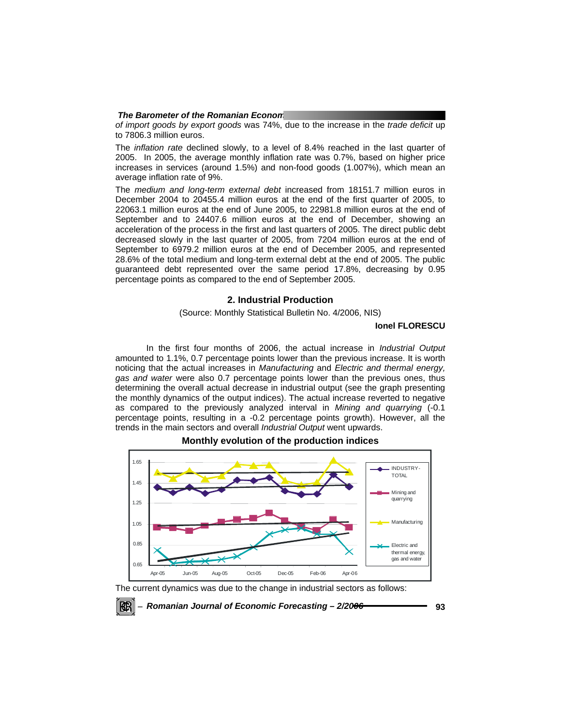*of import goods by export goods* was 74%, due to the increase in the *trade deficit* up to 7806.3 million euros.

The *inflation rate* declined slowly, to a level of 8.4% reached in the last quarter of 2005. In 2005, the average monthly inflation rate was 0.7%, based on higher price increases in services (around 1.5%) and non-food goods (1.007%), which mean an average inflation rate of 9%.

The *medium and long-term external debt* increased from 18151.7 million euros in December 2004 to 20455.4 million euros at the end of the first quarter of 2005, to 22063.1 million euros at the end of June 2005, to 22981.8 million euros at the end of September and to 24407.6 million euros at the end of December, showing an acceleration of the process in the first and last quarters of 2005. The direct public debt decreased slowly in the last quarter of 2005, from 7204 million euros at the end of September to 6979.2 million euros at the end of December 2005, and represented 28.6% of the total medium and long-term external debt at the end of 2005. The public guaranteed debt represented over the same period 17.8%, decreasing by 0.95 percentage points as compared to the end of September 2005.

#### **2. Industrial Production**

### (Source: Monthly Statistical Bulletin No. 4/2006, NIS)

#### **Ionel FLORESCU**

 In the first four months of 2006, the actual increase in *Industrial Output* amounted to 1.1%, 0.7 percentage points lower than the previous increase. It is worth noticing that the actual increases in *Manufacturing* and *Electric and thermal energy, gas and water* were also 0.7 percentage points lower than the previous ones, thus determining the overall actual decrease in industrial output (see the graph presenting the monthly dynamics of the output indices). The actual increase reverted to negative as compared to the previously analyzed interval in *Mining and quarrying* (-0.1 percentage points, resulting in a -0.2 percentage points growth). However, all the trends in the main sectors and overall *Industrial Output* went upwards.



#### **Monthly evolution of the production indices**

The current dynamics was due to the change in industrial sectors as follows:

<sup>−</sup> *Romanian Journal of Economic Forecasting – 2/2006* **93**

KBI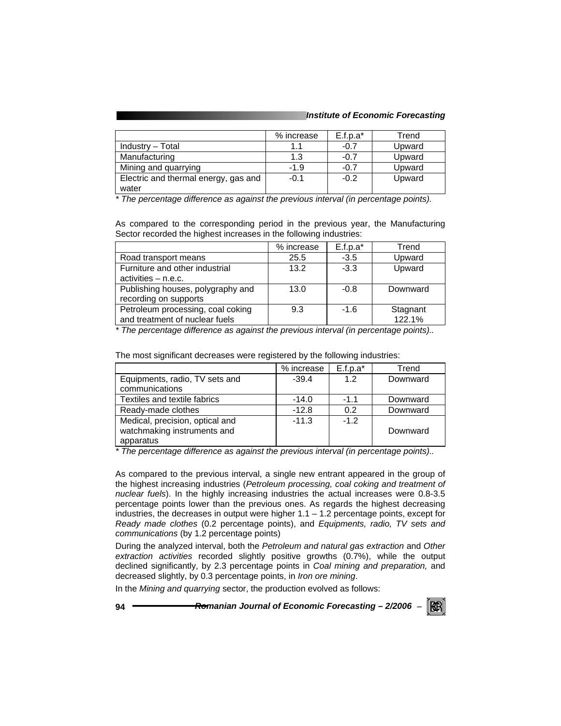*Institute of Economic Forecasting*

|                                      | % increase | $E.f.p.a*$ | Trend  |
|--------------------------------------|------------|------------|--------|
| Industry - Total                     | 1.1        | $-0.7$     | Upward |
| Manufacturing                        | 1.3        | $-0.7$     | Upward |
| Mining and quarrying                 | $-1.9$     | $-0.7$     | Upward |
| Electric and thermal energy, gas and | $-0.1$     | $-0.2$     | Upward |
| water                                |            |            |        |

*\* The percentage difference as against the previous interval (in percentage points).* 

As compared to the corresponding period in the previous year, the Manufacturing Sector recorded the highest increases in the following industries:

|                                   | % increase | $E.f.p.a*$ | Trend    |
|-----------------------------------|------------|------------|----------|
| Road transport means              | 25.5       | $-3.5$     | Upward   |
| Furniture and other industrial    | 13.2       | $-3.3$     | Upward   |
| $activeities - n.e.c.$            |            |            |          |
| Publishing houses, polygraphy and | 13.0       | $-0.8$     | Downward |
| recording on supports             |            |            |          |
| Petroleum processing, coal coking | 9.3        | $-1.6$     | Stagnant |
| and treatment of nuclear fuels    |            |            | 122.1%   |

*\* The percentage difference as against the previous interval (in percentage points)..* 

The most significant decreases were registered by the following industries:

|                                 | % increase | $E.f.p.a*$ | Trend    |
|---------------------------------|------------|------------|----------|
| Equipments, radio, TV sets and  | $-39.4$    | 1.2        | Downward |
| communications                  |            |            |          |
| Textiles and textile fabrics    | $-14.0$    | $-11$      | Downward |
| Ready-made clothes              | $-12.8$    | 0.2        | Downward |
| Medical, precision, optical and | $-11.3$    | $-1.2$     |          |
| watchmaking instruments and     |            |            | Downward |
| apparatus                       |            |            |          |

*\* The percentage difference as against the previous interval (in percentage points)..* 

As compared to the previous interval, a single new entrant appeared in the group of the highest increasing industries (*Petroleum processing, coal coking and treatment of nuclear fuels*). In the highly increasing industries the actual increases were 0.8-3.5 percentage points lower than the previous ones. As regards the highest decreasing industries, the decreases in output were higher 1.1 – 1.2 percentage points, except for *Ready made clothes* (0.2 percentage points), and *Equipments, radio, TV sets and communications* (by 1.2 percentage points)

During the analyzed interval, both the *Petroleum and natural gas extraction* and *Other extraction activities* recorded slightly positive growths (0.7%), while the output declined significantly, by 2.3 percentage points in *Coal mining and preparation,* and decreased slightly, by 0.3 percentage points, in *Iron ore mining*.

In the *Mining and quarrying* sector, the production evolved as follows:

**94** *Romanian Journal of Economic Forecasting – 2/2006* <sup>−</sup>

KB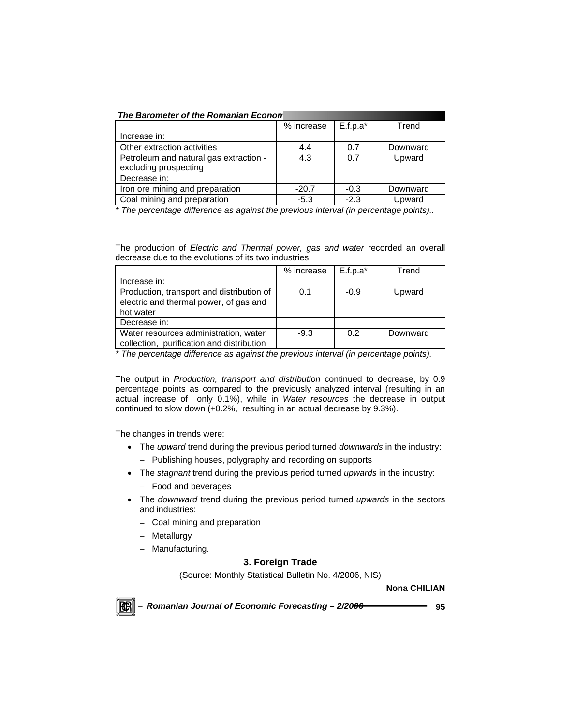|                                                                 | % increase | $E.f.p.a*$ | Trend    |
|-----------------------------------------------------------------|------------|------------|----------|
| Increase in:                                                    |            |            |          |
| Other extraction activities                                     | 4.4        | 0.7        | Downward |
| Petroleum and natural gas extraction -<br>excluding prospecting | 4.3        | 0.7        | Upward   |
| Decrease in:                                                    |            |            |          |
| Iron ore mining and preparation                                 | $-20.7$    | $-0.3$     | Downward |
| Coal mining and preparation                                     | $-5.3$     | $-2.3$     | Upward   |

*\* The percentage difference as against the previous interval (in percentage points)..* 

The production of *Electric and Thermal power, gas and water* recorded an overall decrease due to the evolutions of its two industries:

|                                                                                                  | % increase | $E.f.p.a^*$ | Trend    |
|--------------------------------------------------------------------------------------------------|------------|-------------|----------|
| Increase in:                                                                                     |            |             |          |
| Production, transport and distribution of<br>electric and thermal power, of gas and<br>hot water | 0.1        | $-0.9$      | Upward   |
| Decrease in:                                                                                     |            |             |          |
| Water resources administration, water<br>collection, purification and distribution               | $-9.3$     | 0.2         | Downward |

*\* The percentage difference as against the previous interval (in percentage points).* 

The output in *Production, transport and distribution* continued to decrease, by 0.9 percentage points as compared to the previously analyzed interval (resulting in an actual increase of only 0.1%), while in *Water resources* the decrease in output continued to slow down (+0.2%, resulting in an actual decrease by 9.3%).

The changes in trends were:

- The *upward* trend during the previous period turned *downwards* in the industry:
	- − Publishing houses, polygraphy and recording on supports
- The *stagnant* trend during the previous period turned *upwards* in the industry:
	- − Food and beverages
- The *downward* trend during the previous period turned *upwards* in the sectors and industries:
	- − Coal mining and preparation
	- − Metallurgy
	- − Manufacturing.

## **3. Foreign Trade**

(Source: Monthly Statistical Bulletin No. 4/2006, NIS)

**Nona CHILIAN** 

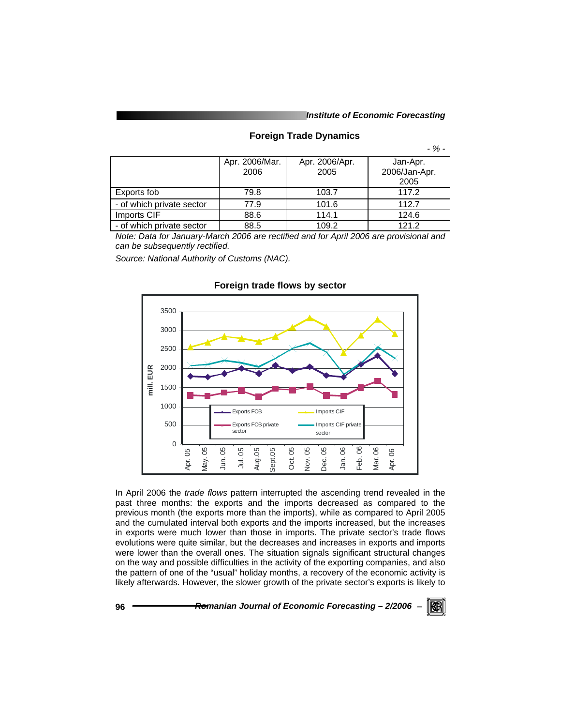## **Foreign Trade Dynamics**

| v<br>۰.<br>v |  |
|--------------|--|
|--------------|--|

|                           | Apr. 2006/Mar.<br>2006 | Apr. 2006/Apr.<br>2005 | Jan-Apr.<br>2006/Jan-Apr.<br>2005 |
|---------------------------|------------------------|------------------------|-----------------------------------|
| Exports fob               | 79.8                   | 103.7                  | 117.2                             |
| - of which private sector | 77.9                   | 101.6                  | 112.7                             |
| Imports CIF               | 88.6                   | 114.1                  | 124.6                             |
| - of which private sector | 88.5                   | 109.2                  | 121.2                             |

*Note: Data for January-March 2006 are rectified and for April 2006 are provisional and can be subsequently rectified.* 

*Source: National Authority of Customs (NAC).* 



**Foreign trade flows by sector**

In April 2006 the *trade flows* pattern interrupted the ascending trend revealed in the past three months: the exports and the imports decreased as compared to the previous month (the exports more than the imports), while as compared to April 2005 and the cumulated interval both exports and the imports increased, but the increases in exports were much lower than those in imports. The private sector's trade flows evolutions were quite similar, but the decreases and increases in exports and imports were lower than the overall ones. The situation signals significant structural changes on the way and possible difficulties in the activity of the exporting companies, and also the pattern of one of the "usual" holiday months, a recovery of the economic activity is likely afterwards. However, the slower growth of the private sector's exports is likely to

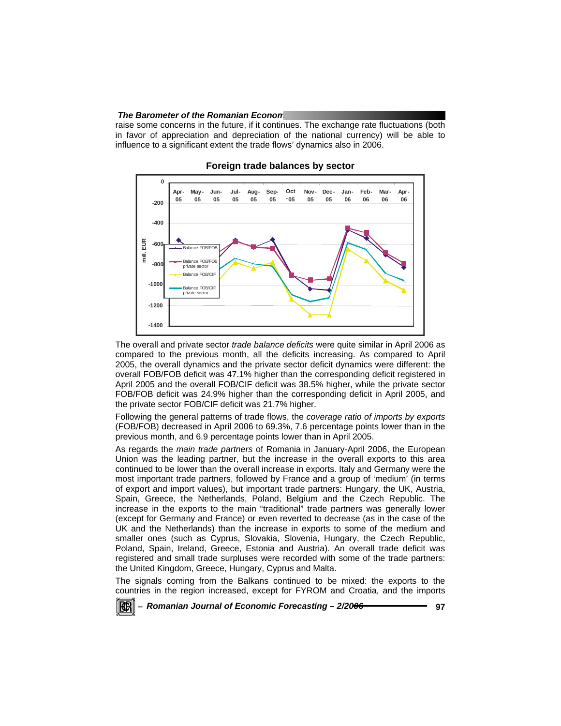raise some concerns in the future, if it continues. The exchange rate fluctuations (both in favor of appreciation and depreciation of the national currency) will be able to influence to a significant extent the trade flows' dynamics also in 2006.



**Foreign trade balances by sector** 

The overall and private sector *trade balance deficits* were quite similar in April 2006 as compared to the previous month, all the deficits increasing. As compared to April 2005, the overall dynamics and the private sector deficit dynamics were different: the overall FOB/FOB deficit was 47.1% higher than the corresponding deficit registered in April 2005 and the overall FOB/CIF deficit was 38.5% higher, while the private sector FOB/FOB deficit was 24.9% higher than the corresponding deficit in April 2005, and the private sector FOB/CIF deficit was 21.7% higher.

Following the general patterns of trade flows, the *coverage ratio of imports by exports* (FOB/FOB) decreased in April 2006 to 69.3%, 7.6 percentage points lower than in the previous month, and 6.9 percentage points lower than in April 2005.

As regards the *main trade partners* of Romania in January-April 2006, the European Union was the leading partner, but the increase in the overall exports to this area continued to be lower than the overall increase in exports. Italy and Germany were the most important trade partners, followed by France and a group of 'medium' (in terms of export and import values), but important trade partners: Hungary, the UK, Austria, Spain, Greece, the Netherlands, Poland, Belgium and the Czech Republic. The increase in the exports to the main "traditional" trade partners was generally lower (except for Germany and France) or even reverted to decrease (as in the case of the UK and the Netherlands) than the increase in exports to some of the medium and smaller ones (such as Cyprus, Slovakia, Slovenia, Hungary, the Czech Republic, Poland, Spain, Ireland, Greece, Estonia and Austria). An overall trade deficit was registered and small trade surpluses were recorded with some of the trade partners: the United Kingdom, Greece, Hungary, Cyprus and Malta.

The signals coming from the Balkans continued to be mixed: the exports to the countries in the region increased, except for FYROM and Croatia, and the imports

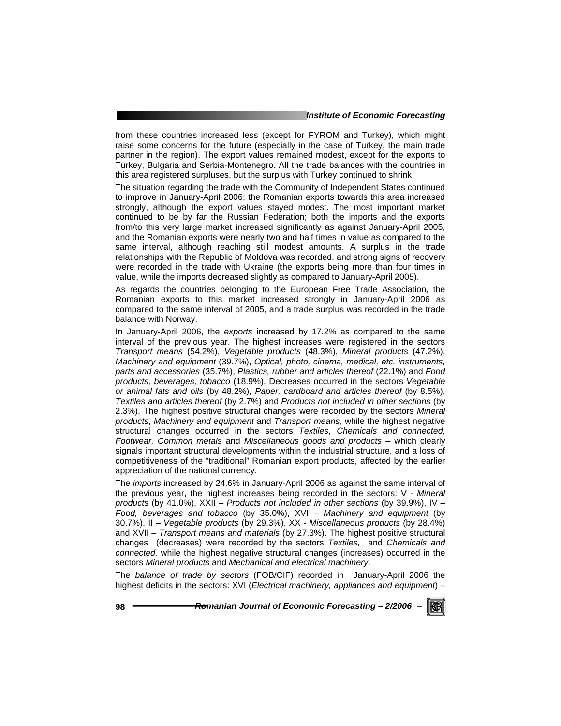#### *Institute of Economic Forecasting*

from these countries increased less (except for FYROM and Turkey), which might raise some concerns for the future (especially in the case of Turkey, the main trade partner in the region). The export values remained modest, except for the exports to Turkey, Bulgaria and Serbia-Montenegro. All the trade balances with the countries in this area registered surpluses, but the surplus with Turkey continued to shrink.

The situation regarding the trade with the Community of Independent States continued to improve in January-April 2006; the Romanian exports towards this area increased strongly, although the export values stayed modest. The most important market continued to be by far the Russian Federation; both the imports and the exports from/to this very large market increased significantly as against January-April 2005, and the Romanian exports were nearly two and half times in value as compared to the same interval, although reaching still modest amounts. A surplus in the trade relationships with the Republic of Moldova was recorded, and strong signs of recovery were recorded in the trade with Ukraine (the exports being more than four times in value, while the imports decreased slightly as compared to January-April 2005).

As regards the countries belonging to the European Free Trade Association, the Romanian exports to this market increased strongly in January-April 2006 as compared to the same interval of 2005, and a trade surplus was recorded in the trade balance with Norway.

In January-April 2006, the *exports* increased by 17.2% as compared to the same interval of the previous year. The highest increases were registered in the sectors *Transport means* (54.2%), *Vegetable products* (48.3%), *Mineral products* (47.2%), *Machinery and equipment* (39.7%), *Optical, photo, cinema, medical, etc. instruments, parts and accessories* (35.7%), *Plastics, rubber and articles thereof* (22.1%) and *Food products, beverages, tobacco* (18.9%). Decreases occurred in the sectors *Vegetable or animal fats and oils* (by 48.2%), *Paper, cardboard and articles thereof* (by 8.5%), *Textiles and articles thereof* (by 2.7%) and *Products not included in other sections* (by 2.3%). The highest positive structural changes were recorded by the sectors *Mineral products*, *Machinery and equipment* and *Transport means*, while the highest negative structural changes occurred in the sectors *Textiles*, *Chemicals and connected, Footwear, Common metals* and *Miscellaneous goods and products* – which clearly signals important structural developments within the industrial structure, and a loss of competitiveness of the "traditional" Romanian export products, affected by the earlier appreciation of the national currency.

The *imports* increased by 24.6% in January-April 2006 as against the same interval of the previous year, the highest increases being recorded in the sectors: V - *Mineral products* (by 41.0%), XXII – *Products not included in other sections* (by 39.9%), IV – *Food, beverages and tobacco* (by 35.0%), XVI – *Machinery and equipment* (by 30.7%), II – *Vegetable products* (by 29.3%), XX - *Miscellaneous products* (by 28.4%) and XVII – *Transport means and materials* (by 27.3%). The highest positive structural changes (decreases) were recorded by the sectors *Textiles,* and *Chemicals and connected,* while the highest negative structural changes (increases) occurred in the sectors *Mineral products* and *Mechanical and electrical machinery*.

The *balance of trade by sectors* (FOB/CIF) recorded in January-April 2006 the highest deficits in the sectors: XVI (*Electrical machinery, appliances and equipment*) –

**98** *Romanian Journal of Economic Forecasting – 2/2006* <sup>−</sup>

KERI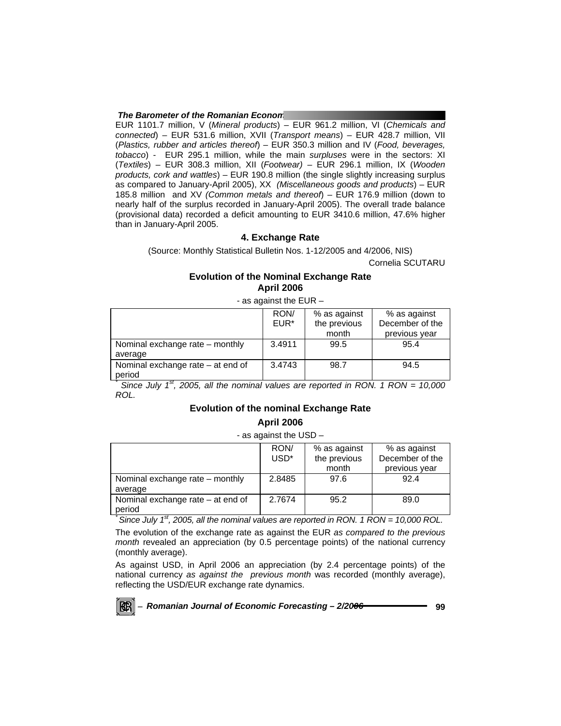EUR 1101.7 million, V (*Mineral products*) – EUR 961.2 million, VI (*Chemicals and connected*) – EUR 531.6 million, XVII (*Transport means*) – EUR 428.7 million, VII (*Plastics, rubber and articles thereof*) – EUR 350.3 million and IV (*Food, beverages, tobacco*) - EUR 295.1 million, while the main *surpluses* were in the sectors: XI (*Textiles*) – EUR 308.3 million, XII (*Footwear) –* EUR 296.1 million, IX (*Wooden products, cork and wattles*) – EUR 190.8 million (the single slightly increasing surplus as compared to January-April 2005), XX *(Miscellaneous goods and products*) – EUR 185.8 million and XV *(Common metals and thereof*) – EUR 176.9 million (down to nearly half of the surplus recorded in January-April 2005). The overall trade balance (provisional data) recorded a deficit amounting to EUR 3410.6 million, 47.6% higher than in January-April 2005.

## **4. Exchange Rate**

(Source: Monthly Statistical Bulletin Nos. 1-12/2005 and 4/2006, NIS)

Cornelia SCUTARU

## **Evolution of the Nominal Exchange Rate April 2006**

- as against the EUR –

|                                                                    | RON/   | % as against | % as against    |
|--------------------------------------------------------------------|--------|--------------|-----------------|
|                                                                    | EUR*   | the previous | December of the |
|                                                                    |        | month        | previous year   |
| Nominal exchange rate – monthly                                    | 3.4911 | 99.5         | 95.4            |
| average                                                            |        |              |                 |
| Nominal exchange rate - at end of                                  | 3.4743 | 98.7         | 94.5            |
| period                                                             |        |              |                 |
| $Sinoq, luh, 4st$ 0.005 all the nominal values are reported in DOM |        |              | 1.0011.1000     |

*Since July 1<sup>st</sup>, 2005, all the nominal values are reported in RON. 1 RON = 10,000 ROL.* 

# **Evolution of the nominal Exchange Rate**

## **April 2006**

|  | as against the USD - |  |
|--|----------------------|--|
|--|----------------------|--|

|                                   | RON/             | % as against | % as against    |
|-----------------------------------|------------------|--------------|-----------------|
|                                   | USD <sup>*</sup> | the previous | December of the |
|                                   |                  | month        | previous year   |
| Nominal exchange rate – monthly   | 2.8485           | 97.6         | 92.4            |
| average                           |                  |              |                 |
| Nominal exchange rate – at end of | 2.7674           | 95.2         | 89.0            |
| period                            |                  |              |                 |

*\* Since July 1st, 2005, all the nominal values are reported in RON. 1 RON = 10,000 ROL.*

The evolution of the exchange rate as against the EUR *as compared to the previous month* revealed an appreciation (by 0.5 percentage points) of the national currency (monthly average).

As against USD, in April 2006 an appreciation (by 2.4 percentage points) of the national currency *as against the previous month* was recorded (monthly average), reflecting the USD/EUR exchange rate dynamics.

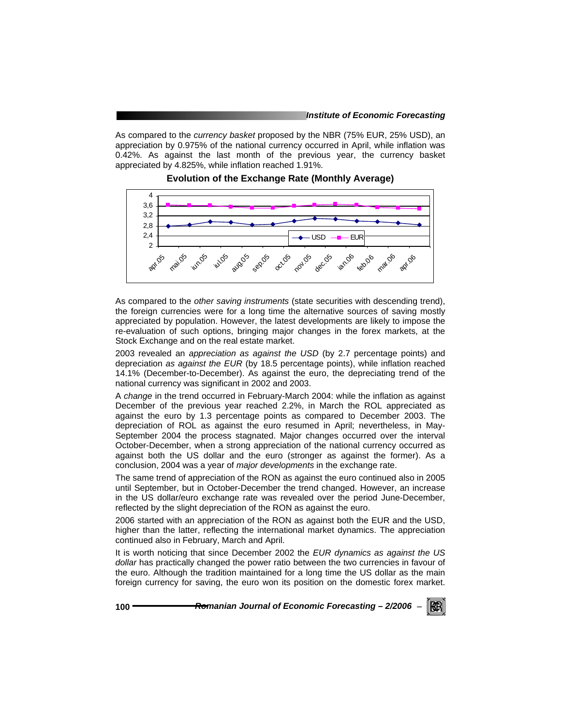As compared to the *currency basket* proposed by the NBR (75% EUR, 25% USD), an appreciation by 0.975% of the national currency occurred in April, while inflation was 0.42%. As against the last month of the previous year, the currency basket appreciated by 4.825%, while inflation reached 1.91%.

**Evolution of the Exchange Rate (Monthly Average)** 



As compared to the *other saving instruments* (state securities with descending trend), the foreign currencies were for a long time the alternative sources of saving mostly appreciated by population. However, the latest developments are likely to impose the re-evaluation of such options, bringing major changes in the forex markets, at the Stock Exchange and on the real estate market.

2003 revealed an *appreciation as against the USD* (by 2.7 percentage points) and depreciation *as against the EUR* (by 18.5 percentage points), while inflation reached 14.1% (December-to-December). As against the euro, the depreciating trend of the national currency was significant in 2002 and 2003.

A *change* in the trend occurred in February-March 2004: while the inflation as against December of the previous year reached 2.2%, in March the ROL appreciated as against the euro by 1.3 percentage points as compared to December 2003. The depreciation of ROL as against the euro resumed in April; nevertheless, in May-September 2004 the process stagnated. Major changes occurred over the interval October-December, when a strong appreciation of the national currency occurred as against both the US dollar and the euro (stronger as against the former). As a conclusion, 2004 was a year of *major developments* in the exchange rate.

The same trend of appreciation of the RON as against the euro continued also in 2005 until September, but in October-December the trend changed. However, an increase in the US dollar/euro exchange rate was revealed over the period June-December, reflected by the slight depreciation of the RON as against the euro.

2006 started with an appreciation of the RON as against both the EUR and the USD, higher than the latter, reflecting the international market dynamics. The appreciation continued also in February, March and April.

It is worth noticing that since December 2002 the *EUR dynamics as against the US dollar* has practically changed the power ratio between the two currencies in favour of the euro. Although the tradition maintained for a long time the US dollar as the main foreign currency for saving, the euro won its position on the domestic forex market.

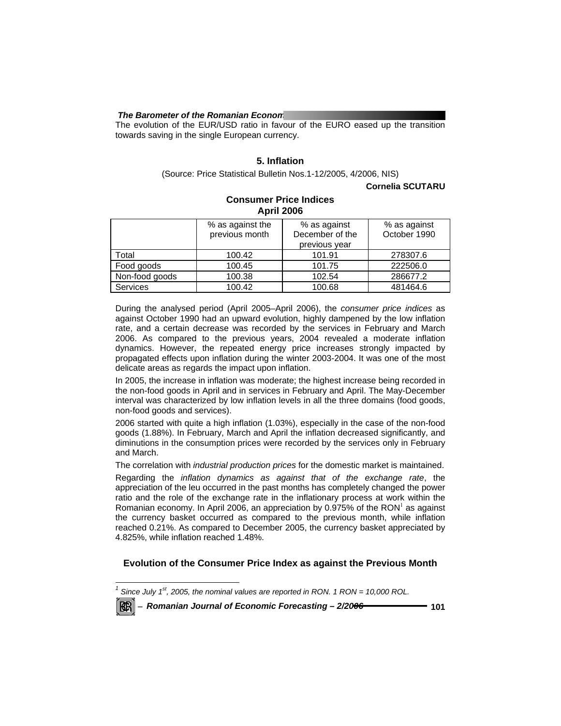The evolution of the EUR/USD ratio in favour of the EURO eased up the transition towards saving in the single European currency.

## **5. Inflation**

(Source: Price Statistical Bulletin Nos.1-12/2005, 4/2006, NIS)

**Cornelia SCUTARU** 

## **Consumer Price Indices April 2006**

|                 | % as against the<br>previous month | % as against<br>December of the<br>previous year | % as against<br>October 1990 |
|-----------------|------------------------------------|--------------------------------------------------|------------------------------|
| Total           | 100.42                             | 101.91                                           | 278307.6                     |
| Food goods      | 100.45                             | 101.75                                           | 222506.0                     |
| Non-food goods  | 100.38                             | 102.54                                           | 286677.2                     |
| <b>Services</b> | 100.42                             | 100.68                                           | 481464.6                     |

During the analysed period (April 2005–April 2006), the *consumer price indices* as against October 1990 had an upward evolution, highly dampened by the low inflation rate, and a certain decrease was recorded by the services in February and March 2006. As compared to the previous years, 2004 revealed a moderate inflation dynamics. However, the repeated energy price increases strongly impacted by propagated effects upon inflation during the winter 2003-2004. It was one of the most delicate areas as regards the impact upon inflation.

In 2005, the increase in inflation was moderate; the highest increase being recorded in the non-food goods in April and in services in February and April. The May-December interval was characterized by low inflation levels in all the three domains (food goods, non-food goods and services).

2006 started with quite a high inflation (1.03%), especially in the case of the non-food goods (1.88%). In February, March and April the inflation decreased significantly, and diminutions in the consumption prices were recorded by the services only in February and March.

The correlation with *industrial production prices* for the domestic market is maintained.

Regarding the *inflation dynamics as against that of the exchange rate*, the appreciation of the leu occurred in the past months has completely changed the power ratio and the role of the exchange rate in the inflationary process at work within the Romanian economy. In April 2006, an appreciation by 0.975% of the RON<sup>1</sup> as against the currency basket occurred as compared to the previous month, while inflation reached 0.21%. As compared to December 2005, the currency basket appreciated by 4.825%, while inflation reached 1.48%.

## **Evolution of the Consumer Price Index as against the Previous Month**

<sup>1</sup> Since July 1<sup>st</sup>, 2005, the nominal values are reported in RON. 1 RON = 10,000 ROL.



l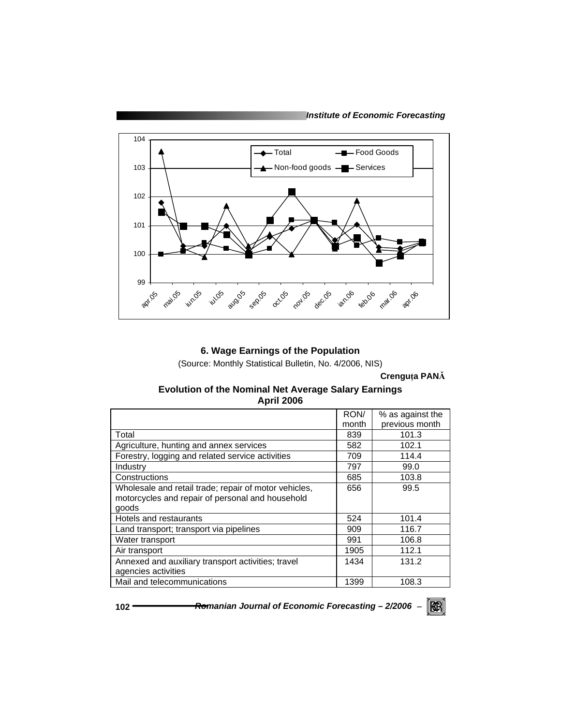*Institute of Economic Forecasting*



# **6. Wage Earnings of the Population**

(Source: Monthly Statistical Bulletin, No. 4/2006, NIS)

**Crenguţa PANĂ**

**Evolution of the Nominal Net Average Salary Earnings April 2006** 

|                                                       | RON/  | % as against the |
|-------------------------------------------------------|-------|------------------|
|                                                       | month | previous month   |
| Total                                                 | 839   | 101.3            |
| Agriculture, hunting and annex services               | 582   | 102.1            |
| Forestry, logging and related service activities      | 709   | 114.4            |
| Industry                                              | 797   | 99.0             |
| Constructions                                         | 685   | 103.8            |
| Wholesale and retail trade; repair of motor vehicles, | 656   | 99.5             |
| motorcycles and repair of personal and household      |       |                  |
| goods                                                 |       |                  |
| Hotels and restaurants                                | 524   | 101.4            |
| Land transport; transport via pipelines               | 909   | 116.7            |
| Water transport                                       | 991   | 106.8            |
| Air transport                                         | 1905  | 112.1            |
| Annexed and auxiliary transport activities; travel    | 1434  | 131.2            |
| agencies activities                                   |       |                  |
| Mail and telecommunications                           | 1399  | 108.3            |

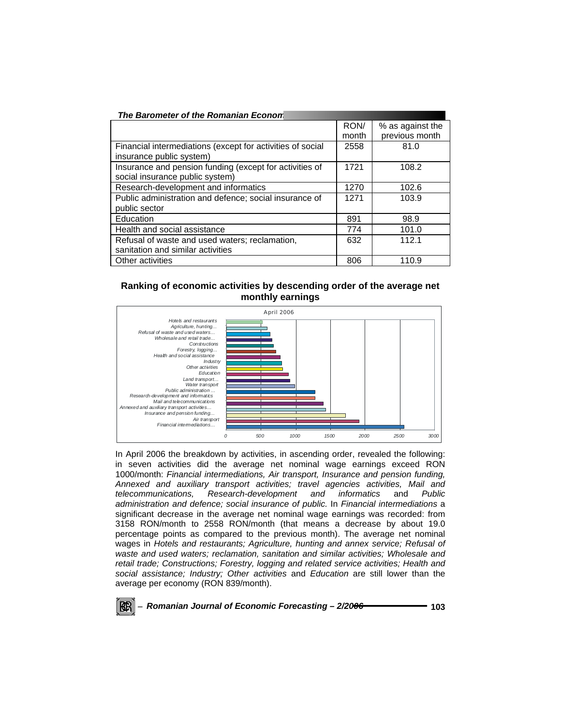| The Barometer of the Romanian Econon                       |       |                  |
|------------------------------------------------------------|-------|------------------|
|                                                            | RON/  | % as against the |
|                                                            | month | previous month   |
| Financial intermediations (except for activities of social | 2558  | 81.0             |
| insurance public system)                                   |       |                  |
| Insurance and pension funding (except for activities of    | 1721  | 108.2            |
| social insurance public system)                            |       |                  |
| Research-development and informatics                       | 1270  | 102.6            |
| Public administration and defence; social insurance of     | 1271  | 103.9            |
| public sector                                              |       |                  |
| Education                                                  | 891   | 98.9             |
| Health and social assistance                               | 774   | 101.0            |
| Refusal of waste and used waters; reclamation,             | 632   | 112.1            |
| sanitation and similar activities                          |       |                  |
| Other activities                                           | 806   | 110.9            |

## **Ranking of economic activities by descending order of the average net monthly earnings**



In April 2006 the breakdown by activities, in ascending order, revealed the following: in seven activities did the average net nominal wage earnings exceed RON 1000/month: *Financial intermediations, Air transport, Insurance and pension funding, Annexed and auxiliary transport activities; travel agencies activities, Mail and telecommunications, Research-development and informatics* and *Public administration and defence; social insurance of public.* In *Financial intermediations* a significant decrease in the average net nominal wage earnings was recorded: from 3158 RON/month to 2558 RON/month (that means a decrease by about 19.0 percentage points as compared to the previous month). The average net nominal wages in *Hotels and restaurants; Agriculture, hunting and annex service; Refusal of waste and used waters; reclamation, sanitation and similar activities; Wholesale and retail trade; Constructions; Forestry, logging and related service activities; Health and social assistance; Industry; Other activities* and *Education* are still lower than the average per economy (RON 839/month).

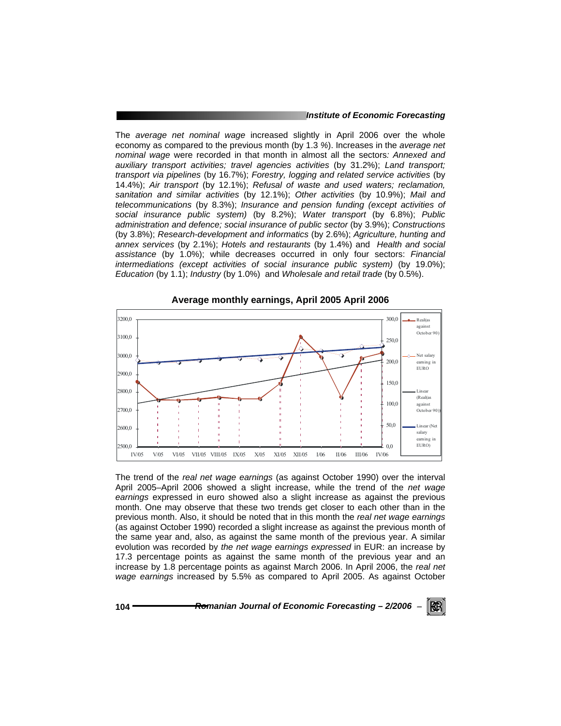#### *Institute of Economic Forecasting*

The *average net nominal wage* increased slightly in April 2006 over the whole economy as compared to the previous month (by 1.3 *%*). Increases in the *average net nominal wage* were recorded in that month in almost all the sectors*: Annexed and auxiliary transport activities; travel agencies activities* (by 31.2%); *Land transport; transport via pipelines* (by 16.7%); *Forestry, logging and related service activities* (by 14.4%); *Air transport* (by 12.1%); *Refusal of waste and used waters; reclamation, sanitation and similar activities* (by 12.1%); *Other activities* (by 10.9%); *Mail and telecommunications* (by 8.3%); *Insurance and pension funding (except activities of social insurance public system)* (by 8.2%); *Water transport* (by 6.8%); *Public administration and defence; social insurance of public sector* (by 3.9%); *Constructions*  (by 3.8%); *Research-development and informatics* (by 2.6%); *Agriculture, hunting and annex services* (by 2.1%); *Hotels and restaurants* (by 1.4%) and *Health and social assistance* (by 1.0%); while decreases occurred in only four sectors: *Financial intermediations (except activities of social insurance public system)* (by 19.0%); *Education* (by 1.1); *Industry* (by 1.0%) and *Wholesale and retail trade* (by 0.5%).



**Average monthly earnings, April 2005 April 2006** 

The trend of the *real net wage earnings* (as against October 1990) over the interval April 2005–April 2006 showed a slight increase, while the trend of the *net wage earnings* expressed in euro showed also a slight increase as against the previous month. One may observe that these two trends get closer to each other than in the previous month. Also, it should be noted that in this month the *real net wage earnings* (as against October 1990) recorded a slight increase as against the previous month of the same year and, also, as against the same month of the previous year. A similar evolution was recorded by *the net wage earnings expressed* in EUR: an increase by 17.3 percentage points as against the same month of the previous year and an increase by 1.8 percentage points as against March 2006. In April 2006, the *real net wage earnings* increased by 5.5% as compared to April 2005. As against October

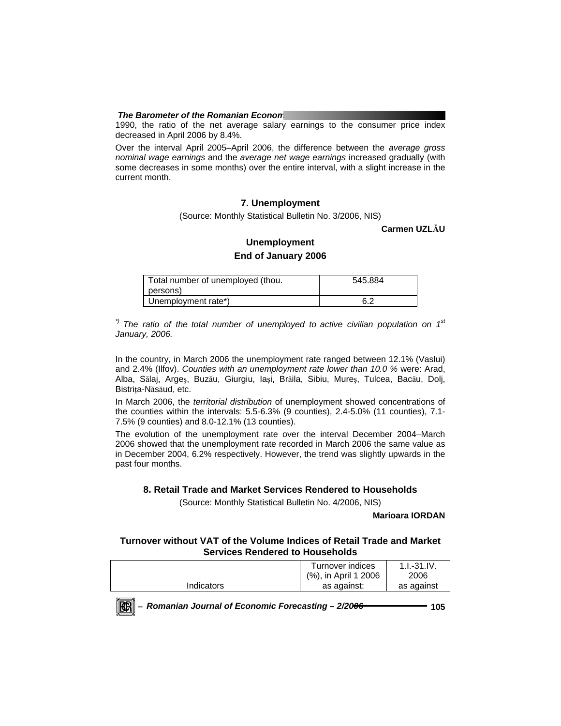1990, the ratio of the net average salary earnings to the consumer price index decreased in April 2006 by 8.4%.

Over the interval April 2005–April 2006, the difference between the *average gross nominal wage earnings* and the *average net wage earnings* increased gradually (with some decreases in some months) over the entire interval, with a slight increase in the current month.

## **7. Unemployment**

(Source: Monthly Statistical Bulletin No. 3/2006, NIS)

**Carmen UZLĂU**

## **Unemployment End of January 2006**

| Total number of unemployed (thou.<br>persons) | 545.884 |
|-----------------------------------------------|---------|
| Unemployment rate*)                           | 6.2     |

*\*) The ratio of the total number of unemployed to active civilian population on 1st January, 2006.* 

In the country, in March 2006 the unemployment rate ranged between 12.1% (Vaslui) and 2.4% (Ilfov). *Counties with an unemployment rate lower than 10.0 %* were: Arad, Alba, Sălaj, Argeş, Buzău, Giurgiu, Iaşi, Brăila, Sibiu, Mureş, Tulcea, Bacău, Dolj, Bistrita-Năsăud, etc.

In March 2006, the *territorial distribution* of unemployment showed concentrations of the counties within the intervals: 5.5-6.3% (9 counties), 2.4-5.0% (11 counties), 7.1- 7.5% (9 counties) and 8.0-12.1% (13 counties).

The evolution of the unemployment rate over the interval December 2004–March 2006 showed that the unemployment rate recorded in March 2006 the same value as in December 2004, 6.2% respectively. However, the trend was slightly upwards in the past four months.

## **8. Retail Trade and Market Services Rendered to Households**

(Source: Monthly Statistical Bulletin No. 4/2006, NIS)

**Marioara IORDAN** 

## **Turnover without VAT of the Volume Indices of Retail Trade and Market Services Rendered to Households**

|            | Turnover indices     | $1.1 - 31.1V$ . |
|------------|----------------------|-----------------|
|            | (%), in April 1 2006 | 2006            |
| Indicators | as against:          | as against      |
|            |                      |                 |

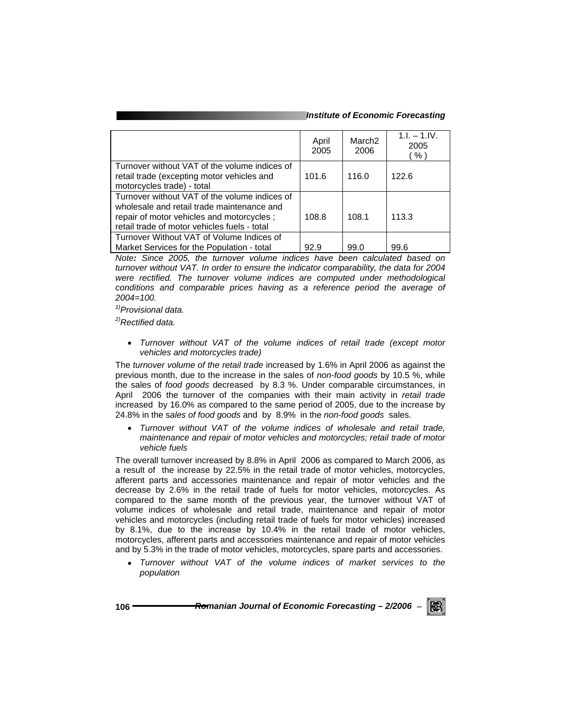*Institute of Economic Forecasting*

|                                                                                                                                                                                          | April<br>2005 | March <sub>2</sub><br>2006 | $1.I. - 1.IV.$<br>2005<br>% ) |
|------------------------------------------------------------------------------------------------------------------------------------------------------------------------------------------|---------------|----------------------------|-------------------------------|
| Turnover without VAT of the volume indices of<br>retail trade (excepting motor vehicles and<br>motorcycles trade) - total                                                                | 101.6         | 116.0                      | 122.6                         |
| Turnover without VAT of the volume indices of<br>wholesale and retail trade maintenance and<br>repair of motor vehicles and motorcycles;<br>retail trade of motor vehicles fuels - total | 108.8         | 108.1                      | 113.3                         |
| Turnover Without VAT of Volume Indices of<br>Market Services for the Population - total                                                                                                  | 92.9          | 99.0                       | 99.6                          |

*Note: Since 2005, the turnover volume indices have been calculated based on turnover without VAT. In order to ensure the indicator comparability, the data for 2004 were rectified. The turnover volume indices are computed under methodological conditions and comparable prices having as a reference period the average of 2004=100.* 

*1)Provisional data.*

*2)Rectified data.* 

• *Turnover without VAT of the volume indices of retail trade (except motor vehicles and motorcycles trade)* 

The *turnover volume of the retail trade* increased by 1.6% in April 2006 as against the previous month, due to the increase in the sales of *non-food goods* by 10.5 %, while the sales of *food goods* decreased by 8.3 %. Under comparable circumstances, in April 2006 the turnover of the companies with their main activity in *retail trade* increased by 16.0% as compared to the same period of 2005, due to the increase by 24.8% in the s*ales of food goods* and by 8.9%in the *non-food goods* sales.

• *Turnover without VAT of the volume indices of wholesale and retail trade, maintenance and repair of motor vehicles and motorcycles; retail trade of motor vehicle fuels* 

The overall turnover increased by 8.8% in April 2006 as compared to March 2006, as a result of the increase by 22.5% in the retail trade of motor vehicles, motorcycles, afferent parts and accessories maintenance and repair of motor vehicles and the decrease by 2.6% in the retail trade of fuels for motor vehicles, motorcycles. As compared to the same month of the previous year, the turnover without VAT of volume indices of wholesale and retail trade, maintenance and repair of motor vehicles and motorcycles (including retail trade of fuels for motor vehicles) increased by 8.1%, due to the increase by 10.4% in the retail trade of motor vehicles, motorcycles, afferent parts and accessories maintenance and repair of motor vehicles and by 5.3% in the trade of motor vehicles, motorcycles, spare parts and accessories.

• *Turnover without VAT of the volume indices of market services to the population*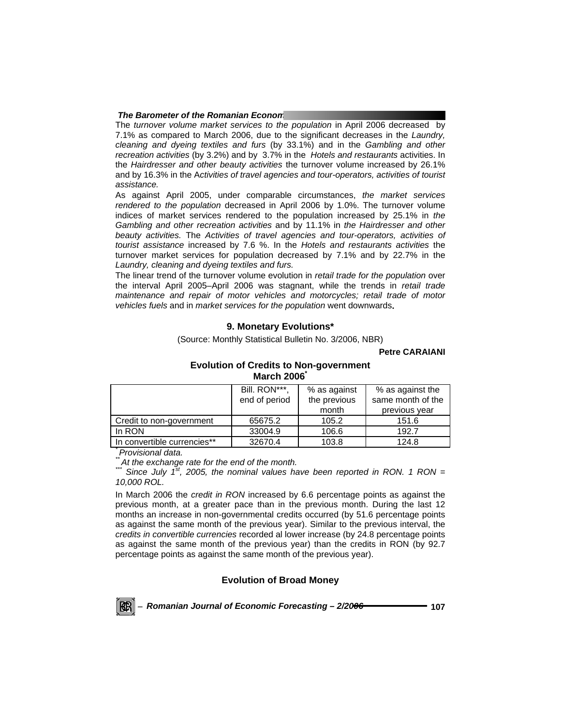The *turnover volume market services to the population* in April 2006 decreased by 7.1% as compared to March 2006, due to the significant decreases in the *Laundry, cleaning and dyeing textiles and furs* (by 33.1%) and in the *Gambling and other recreation activities* (by 3.2%) and by 3.7% in the *Hotels and restaurants* activities. In the *Hairdresser and other beauty activities* the turnover volume increased by 26.1% and by 16.3% in the A*ctivities of travel agencies and tour-operators, activities of tourist assistance.*

As against April 2005, under comparable circumstances, *the market services rendered to the population* decreased in April 2006 by 1.0%. The turnover volume indices of market services rendered to the population increased by 25.1% in *the Gambling and other recreation activities* and by 11.1% in *the Hairdresser and other beauty activities.* The *Activities of travel agencies and tour-operators, activities of tourist assistance* increased by 7.6 %. In the *Hotels and restaurants activities* the turnover market services for population decreased by 7.1% and by 22.7% in the *Laundry, cleaning and dyeing textiles and furs.* 

The linear trend of the turnover volume evolution in *retail trade for the population* over the interval April 2005–April 2006 was stagnant, while the trends in *retail trade maintenance and repair of motor vehicles and motorcycles; retail trade of motor vehicles fuels* and in *market services for the population* went downwards**.** 

## **9. Monetary Evolutions\***

(Source: Monthly Statistical Bulletin No. 3/2006, NBR)

#### **Petre CARAIANI**

## **Evolution of Credits to Non-government March 2006\***

|                             | Bill. RON***.<br>end of period | % as against<br>the previous | % as against the<br>same month of the |
|-----------------------------|--------------------------------|------------------------------|---------------------------------------|
|                             |                                | month                        | previous year                         |
| Credit to non-government    | 65675.2                        | 105.2                        | 151.6                                 |
| In RON                      | 33004.9                        | 106.6                        | 192.7                                 |
| In convertible currencies** | 32670.4                        | 103.8                        | 124.8                                 |

*\* Provisional data.* 

*Since July 1<sup>st</sup>, 2005, the nominal values have been reported in RON. 1 RON = 10,000 ROL.* 

In March 2006 the *credit in RON* increased by 6.6 percentage points as against the previous month, at a greater pace than in the previous month. During the last 12 months an increase in non-governmental credits occurred (by 51.6 percentage points as against the same month of the previous year). Similar to the previous interval, the *credits in convertible currencies* recorded al lower increase (by 24.8 percentage points as against the same month of the previous year) than the credits in RON (by 92.7 percentage points as against the same month of the previous year).

## **Evolution of Broad Money**

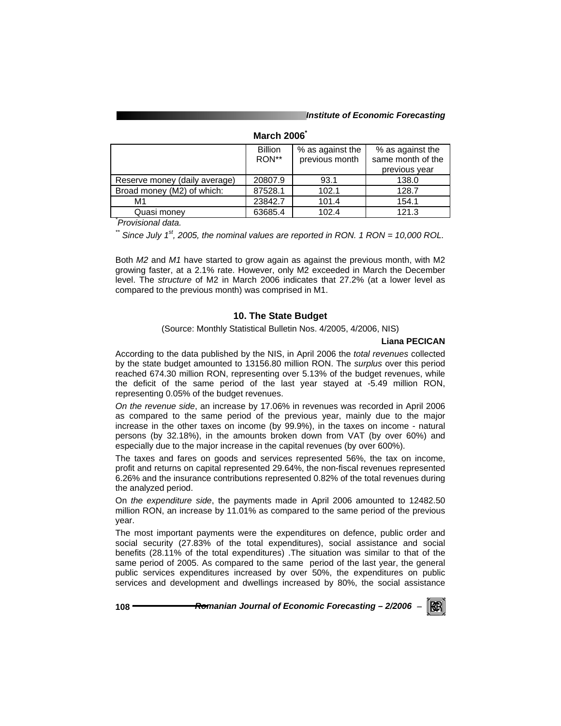|                               | <b>Billion</b><br>RON** | % as against the<br>previous month | % as against the<br>same month of the<br>previous year |
|-------------------------------|-------------------------|------------------------------------|--------------------------------------------------------|
| Reserve money (daily average) | 20807.9                 | 93.1                               | 138.0                                                  |
| Broad money (M2) of which:    | 87528.1                 | 102.1                              | 128.7                                                  |
| M1                            | 23842.7                 | 101.4                              | 154.1                                                  |
| Quasi monev                   | 63685.4                 | 102.4                              | 121.3                                                  |

**March 2006\***

*\* Provisional data.* 

*\*\* Since July 1st, 2005, the nominal values are reported in RON. 1 RON = 10,000 ROL.*

Both *M2* and *M1* have started to grow again as against the previous month, with M2 growing faster, at a 2.1% rate. However, only M2 exceeded in March the December level. The *structure* of M2 in March 2006 indicates that 27.2% (at a lower level as compared to the previous month) was comprised in M1.

#### **10. The State Budget**

(Source: Monthly Statistical Bulletin Nos. 4/2005, 4/2006, NIS)

#### **Liana PECICAN**

According to the data published by the NIS, in April 2006 the *total revenues* collected by the state budget amounted to 13156.80 million RON. The *surplus* over this period reached 674.30 million RON, representing over 5.13% of the budget revenues, while the deficit of the same period of the last year stayed at -5.49 million RON, representing 0.05% of the budget revenues.

*On the revenue side*, an increase by 17.06% in revenues was recorded in April 2006 as compared to the same period of the previous year, mainly due to the major increase in the other taxes on income (by 99.9%), in the taxes on income - natural persons (by 32.18%), in the amounts broken down from VAT (by over 60%) and especially due to the major increase in the capital revenues (by over 600%).

The taxes and fares on goods and services represented 56%, the tax on income, profit and returns on capital represented 29.64%, the non-fiscal revenues represented 6.26% and the insurance contributions represented 0.82% of the total revenues during the analyzed period.

On *the expenditure side*, the payments made in April 2006 amounted to 12482.50 million RON, an increase by 11.01% as compared to the same period of the previous year.

The most important payments were the expenditures on defence, public order and social security (27.83% of the total expenditures), social assistance and social benefits (28.11% of the total expenditures) .The situation was similar to that of the same period of 2005. As compared to the same period of the last year, the general public services expenditures increased by over 50%, the expenditures on public services and development and dwellings increased by 80%, the social assistance

**108** *Romanian Journal of Economic Forecasting – 2/2006* <sup>−</sup>

KERI